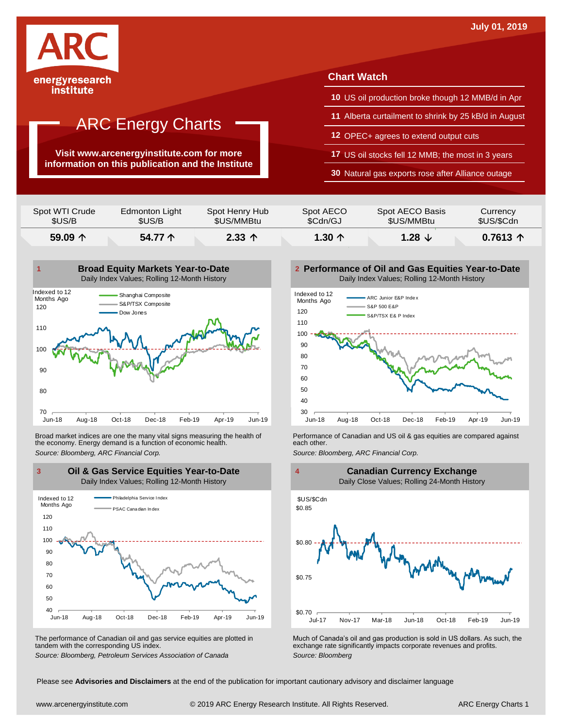

institute

## ARC Energy Charts

**Visit www.arcenergyinstitute.com for more information on this publication and the Institute**

#### **Chart Watch**

- **10** US oil production broke though 12 MMB/d in Apr
- **11** Alberta curtailment to shrink by 25 kB/d in August
- **12** OPEC+ agrees to extend output cuts
- **17** US oil stocks fell 12 MMB; the most in 3 years

**30** Natural gas exports rose after Alliance outage

| Spot WTI Crude   | Edmonton Light | Spot Henry Hub    | Spot AECO       | Spot AECO Basis | Currency   |
|------------------|----------------|-------------------|-----------------|-----------------|------------|
| \$US/B           | \$US/B         | \$US/MMBtu        | \$Cdn/GJ        | \$US/MMBtu      | \$US/\$Cdn |
| 59.09 $\uparrow$ | 54.77 个        | $2.33$ $\uparrow$ | 1.30 $\uparrow$ | 1.28 $\sqrt{ }$ | $0.7613$ 个 |



Broad market indices are one the many vital signs measuring the health of the economy. Energy demand is a function of economic health. Broad market indices are one the many vital signs measuring the health of **Ferformance of Canadian and US oil & gas equities** are compared against the economy. Energy demand is a function of economic health.<br>The economy. E



The performance of Canadian oil and gas service equities are plotted in tandem with the corresponding US index.

**Performance of Oil and Gas Equities Year-to-Date** Daily Index Values; Rolling 12-Month History





The performance of Canadian oil and gas service equities are plotted in Much of Canada's oil and gas production is sold in US dollars. As such, the exchange rate significantly impacts corporate revenues and profits.<br>Source

Please see **Advisories and Disclaimers** at the end of the publication for important cautionary advisory and disclaimer language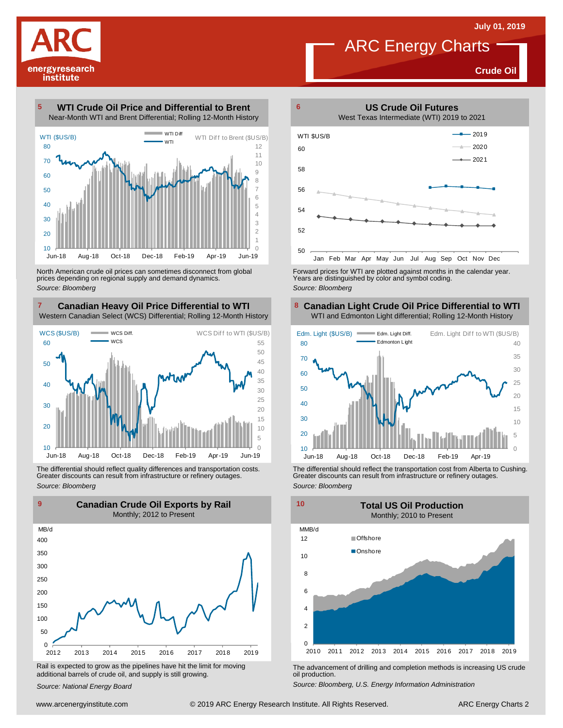**Crude Oil**

energyresearch institute

**WTI Crude Oil Price and Differential to Brent** Near-Month WTI and Brent Differential; Rolling 12-Month History 



North American crude oil prices can sometimes disconnect from global prices depending on regional supply and demand dynamics. *Source: Bloomberg*

#### **Canadian Heavy Oil Price Differential to WTI 8** Western Canadian Select (WCS) Differential; Rolling 12-Month History



The differential should reflect quality differences and transportation costs. Greater discounts can result from infrastructure or refinery outages. *Source: Bloomberg*



Rail is expected to grow as the pipelines have hit the limit for moving additional barrels of crude oil, and supply is still growing.

*Source: National Energy Board*



Forward prices for WTI are plotted against months in the calendar year. Years are distinguished by color and symbol coding. *Source: Bloomberg*

#### **Canadian Light Crude Oil Price Differential to WTI** WTI and Edmonton Light differential; Rolling 12-Month History



The differential should reflect the transportation cost from Alberta to Cushing. Greater discounts can result from infrastructure or refinery outages. *Source: Bloomberg*



The advancement of drilling and completion methods is increasing US crude oil production.

*Source: Bloomberg, U.S. Energy Information Administration*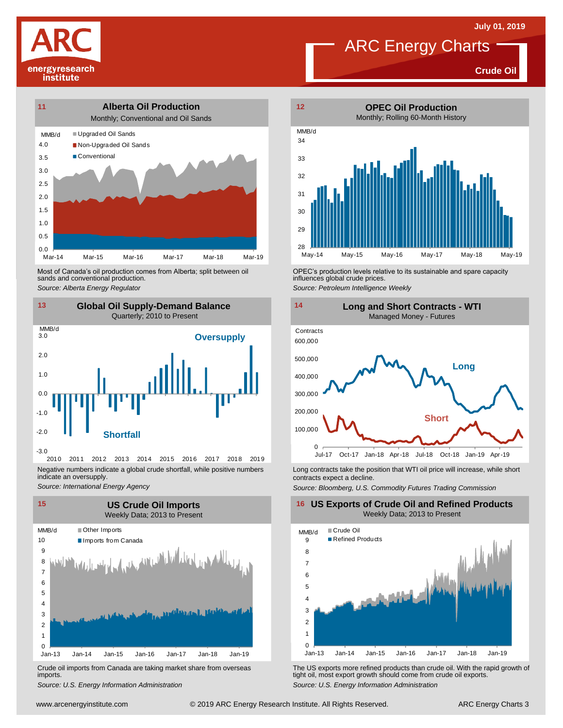**Crude Oil**





Most of Canada's oil production comes from Alberta; split between oil sands and conventional production. Most of Canada's oil production comes from Alberta; split between oil **Source:** OPEC's production levels relative to its sustainable and spare capacity<br>
Source: Alberta *Energy Regulator*<br>
Source: Petroleum Intelligence We



2010 2011 2012 2013 2014 2015 2016 2017 2018 2019 Negative numbers indicate a global crude shortfall, while positive numbers indicate an oversupply.

*Source: International Energy Agency*



Crude oil imports from Canada are taking market share from overseas imports.



influences global crude prices. *Source: Petroleum Intelligence Weekly*



Long contracts take the position that WTI oil price will increase, while short contracts expect a decline.

*Source: Bloomberg, U.S. Commodity Futures Trading Commission*

**16 US Exports of Crude Oil and Refined Products** Weekly Data; 2013 to Present



Um-13 Jan-14 Jan-15 Jan-16 Jan-17 Jan-18 Jan-19<br>
Crude oil imports from Canada are taking market share from overseas<br>
Source: U.S. Energy Information Administration<br>
Source: U.S. Energy Information Administration<br>
Www.arce *S*rude oil imports from Canada are taking market share from overseas The US exports more refined products than crude oil. With the rapid growth of imports.<br> *Source: U.S. Energy Information Administration*<br>
Source: U.S. E tight oil, most export growth should come from crude oil exports. *Source: U.S. Energy Information Administration*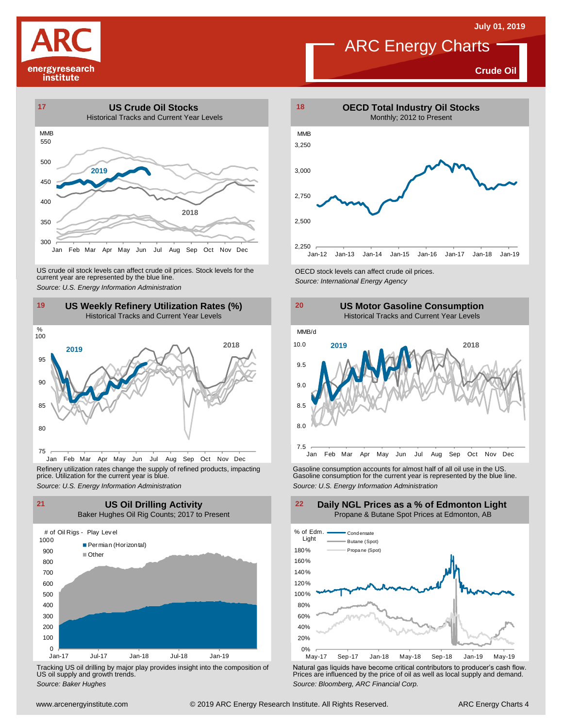**Crude Oil**





US crude oil stock levels can affect crude oil prices. Stock levels for the CECD stock levels can affect crude oil prices.<br>
Source: U.S. Energy Information Administration<br>
19 US Weekly Refinery Utilization Rates (%)<br>
Histo



Refinery utilization rates change the supply of refined products, impacting price. Utilization for the current year is blue.



Tracking US oil drilling by major play provides insight into the composition of US oil supply and growth trends.





Refinery utilization rates change the supply of refined products, impacting<br>
price. Utilization for the current year is blue.<br>
Source: U.S. Energy Information Administration<br>
Source: U.S. Energy Information Administration<br>

**Daily NGL Prices as a % of Edmonton Light**



We can be the matrix of the tomposition of the tomposition of Tracking US oil drilling by major play provides insight into the composition of US oil supply and growth trends.<br>
Source: Baker Hughes<br>
Source: Baker Hughes Sou Tracking US oil drilling by major play provides insight into the composition of<br>US oil supply and growth trends.<br>Source: Baker Hughes<br>Source: Baker Hughes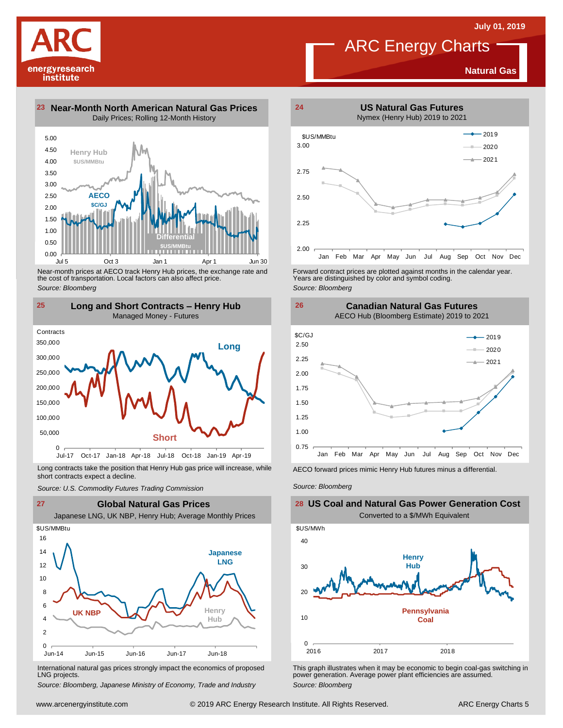**Natural Gas**

2020 2021

4.50 5.00 **23 Near-Month North American Natural Gas Prices 24** Daily Prices; Rolling 12-Month History **Henry Hub**

energyresearch institute



Near-month prices at AECO track Henry Hub prices, the exchange rate and the cost of transportation. Local factors can also affect price. *Source: Bloomberg*



Long contracts take the position that Henry Hub gas price will increase, while short contracts expect a decline. *Source: U.S. Commodity Futures Trading Commission* AECO forward prices mimic Henry Hub futures minus <sup>a</sup> differential. *Source: Bloomberg*



International natural gas prices strongly impact the economics of proposed LNG projects.

*Source: Bloomberg, Japanese Ministry of Economy, Trade and Industry*



Forward contract prices are plotted against months in the calendar year.<br>Years are distinguished by color and symbol coding. *Source: Bloomberg*

**Canadian Natural Gas Futures**



**26**



This graph illustrates when it may be economic to begin coal-gas switching in power generation. Average power plant efficiencies are assumed. *Source: Bloomberg*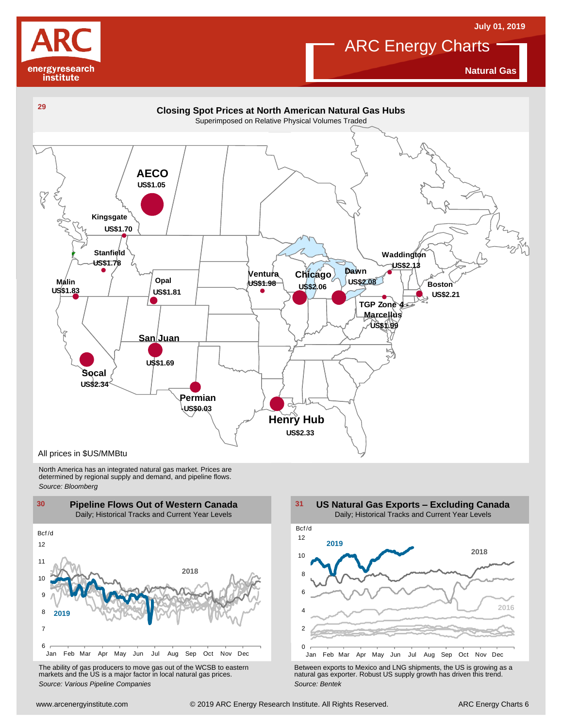



**Natural Gas**



North America has an integrated natural gas market. Prices are determined by regional supply and demand, and pipeline flows. *Source: Bloomberg*



The ability of gas producers to move gas out of the WCSB to eastern markets and the US is <sup>a</sup> major factor in local natural gas prices.



Using the Marting of the Way Jun Juli Augusta Control of the WCSB to eastern<br>
The ability of gas producers to move gas out of the WCSB to eastern<br>
markets and the US is a major factor in local natural gas prices.<br>
Source: The ability of gas producers to move gas out of the WCSB to eastern<br>
markets and the US is a major factor in local natural gas prices.<br>
Source: Various Pipeline Companies<br>
Source: Bentek<br>
Source: Bentek<br>
Source: Bentek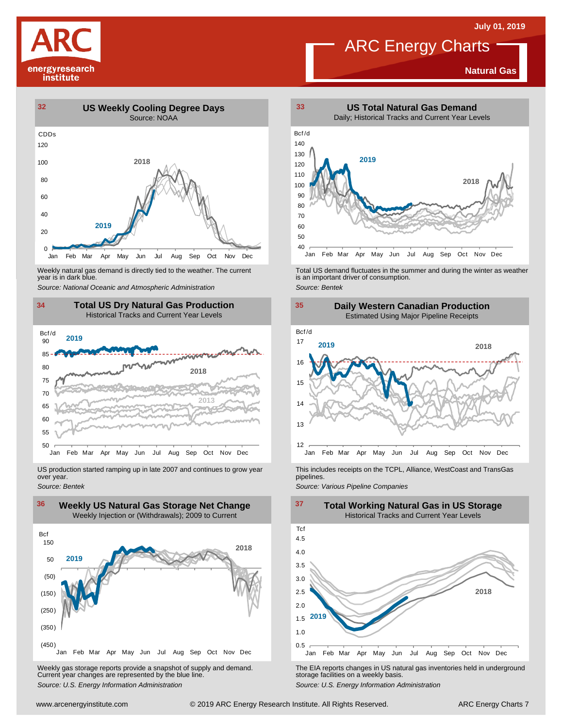

**Natural Gas**



Weekly natural gas demand is directly tied to the weather. The current year is in dark blue.



US production started ramping up in late 2007 and continues to grow year over year. *Source: Bentek*



Weekly gas storage reports provide <sup>a</sup> snapshot of supply and demand. Current year changes are represented by the blue line. Weekly gas storage reports provide a snapshot of supply and demand.<br>
The EIA reports changes in US natural gas inventories held in underground<br>
Source: U.S. Energy Information Administration<br>
Source: U.S. Energy Informatio



Weekly natural gas demand is directly tied to the weather. The current<br>year is in dark blue.<br>Source: National Oceanic and Atmospheric Administration<br>Source: Bentek<br>Source: Bentek



This includes receipts on the TCPL, Alliance, WestCoast and TransGas pipelines.

*Source: Various Pipeline Companies*

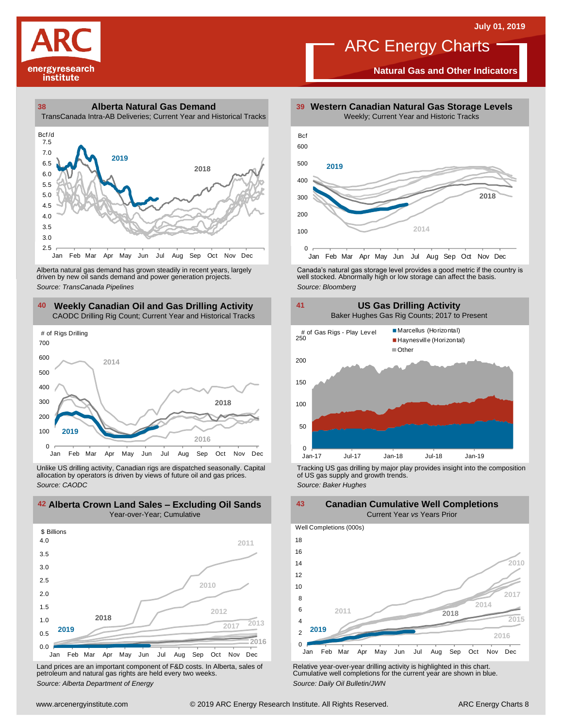

**Natural Gas and Other Indicators**





driven by new oil sands demand and power generation projects.

#### **40 41 Weekly Canadian Oil and Gas Drilling Activity** CAODC Drilling Rig Count; Current Year and Historical Tracks



Unlike US drilling activity, Canadian rigs are dispatched seasonally. Capital allocation by operators is driven by views of future oil and gas prices. *Source: CAODC*



Land prices are an important component of F&D costs. In Alberta, sales of petroleum and natural gas rights are held every two weeks. *Source: Alberta Department of Energy*



Alberta natural gas demand has grown steadily in recent years, largely **canada's natural gas storage level provid**es a good metric if the country is driven by new oil sands demand and power generation projects.<br>And the sto



Tracking US gas drilling by major play provides insight into the composition of US gas supply and growth trends. *Source: Baker Hughes*

**42 43 Alberta Crown Land Sales – Excluding Oil Sands Canadian Cumulative Well Completions** Current Year *vs* Years Prior



Relative year-over-year drilling activity is highlighted in this chart. Cumulative well completions for the current year are shown in blue. *Source: Daily Oil Bulletin/JWN*